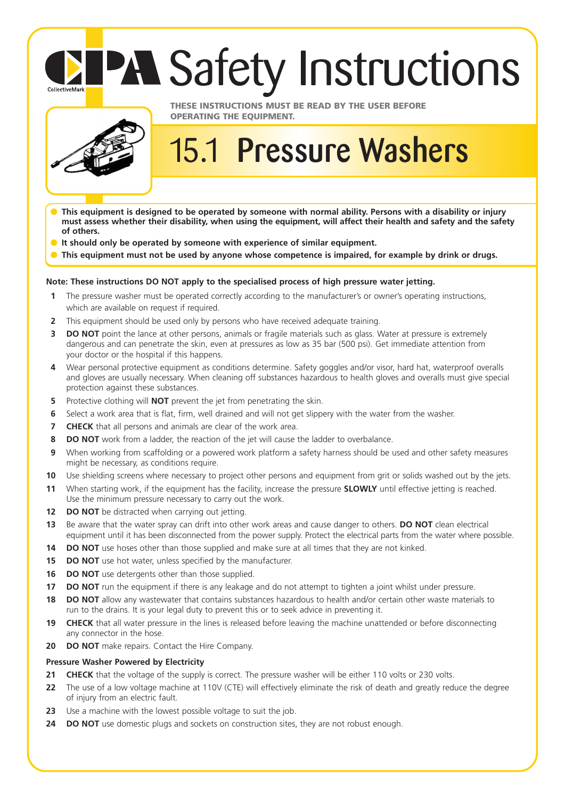# **PA Safety Instructions**



CollectiveMark

### **THESE INSTRUCTIONS MUST BE READ BY THE USER BEFORE OPERATING THE EQUIPMENT.**

## 15.1 **Pressure Washers**

- **This equipment is designed to be operated by someone with normal ability. Persons with a disability or injury must assess whether their disability, when using the equipment, will affect their health and safety and the safety of others.**
- **It should only be operated by someone with experience of similar equipment.**
- This equipment must not be used by anyone whose competence is impaired, for example by drink or drugs.

#### **Note: These instructions DO NOT apply to the specialised process of high pressure water jetting.**

- **1** The pressure washer must be operated correctly according to the manufacturer's or owner's operating instructions, which are available on request if required.
- **2** This equipment should be used only by persons who have received adequate training.
- **3 DO NOT** point the lance at other persons, animals or fragile materials such as glass. Water at pressure is extremely dangerous and can penetrate the skin, even at pressures as low as 35 bar (500 psi). Get immediate attention from your doctor or the hospital if this happens.
- **4** Wear personal protective equipment as conditions determine. Safety goggles and/or visor, hard hat, waterproof overalls and gloves are usually necessary. When cleaning off substances hazardous to health gloves and overalls must give special protection against these substances.
- **5** Protective clothing will **NOT** prevent the jet from penetrating the skin.
- **6** Select a work area that is flat, firm, well drained and will not get slippery with the water from the washer.
- **7** CHECK that all persons and animals are clear of the work area.
- **8 DO NOT** work from a ladder, the reaction of the jet will cause the ladder to overbalance.
- **9** When working from scaffolding or a powered work platform a safety harness should be used and other safety measures might be necessary, as conditions require.
- **10** Use shielding screens where necessary to project other persons and equipment from grit or solids washed out by the jets.
- **11** When starting work, if the equipment has the facility, increase the pressure **SLOWLY** until effective jetting is reached. Use the minimum pressure necessary to carry out the work.
- **12 DO NOT** be distracted when carrying out jetting.
- **13** Be aware that the water spray can drift into other work areas and cause danger to others. **DO NOT** clean electrical equipment until it has been disconnected from the power supply. Protect the electrical parts from the water where possible.
- **14 DO NOT** use hoses other than those supplied and make sure at all times that they are not kinked.
- **15 DO NOT** use hot water, unless specified by the manufacturer.
- **16 DO NOT** use detergents other than those supplied.
- **17 DO NOT** run the equipment if there is any leakage and do not attempt to tighten a joint whilst under pressure.
- **18 DO NOT** allow any wastewater that contains substances hazardous to health and/or certain other waste materials to run to the drains. It is your legal duty to prevent this or to seek advice in preventing it.
- **19 CHECK** that all water pressure in the lines is released before leaving the machine unattended or before disconnecting any connector in the hose.
- **20 DO NOT** make repairs. Contact the Hire Company.

#### **Pressure Washer Powered by Electricity**

- **21 CHECK** that the voltage of the supply is correct. The pressure washer will be either 110 volts or 230 volts.
- **22** The use of a low voltage machine at 110V (CTE) will effectively eliminate the risk of death and greatly reduce the degree of injury from an electric fault.
- **23** Use a machine with the lowest possible voltage to suit the job.
- **24 DO NOT** use domestic plugs and sockets on construction sites, they are not robust enough.